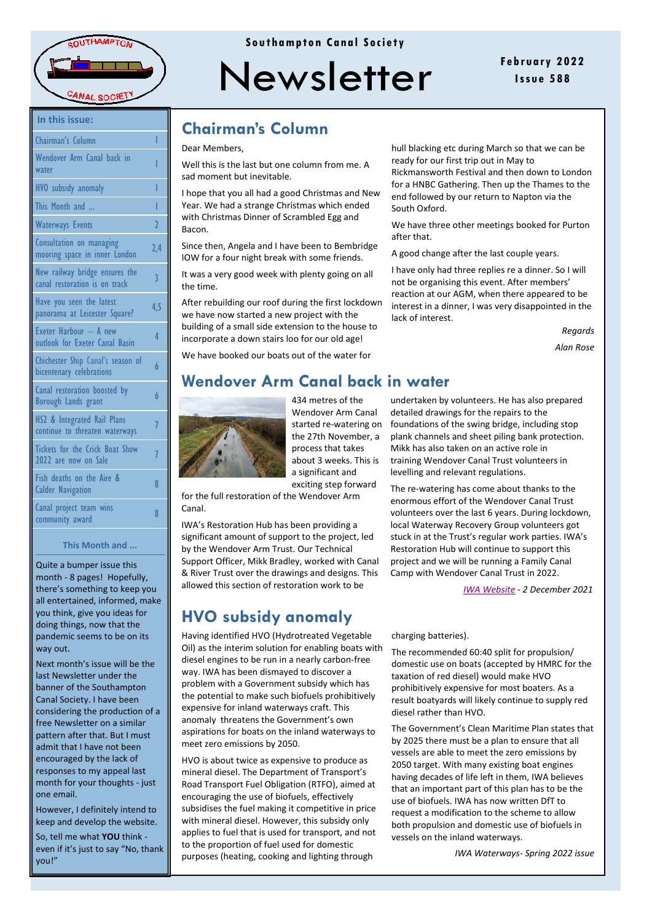

| In this issue:                                                  |                |
|-----------------------------------------------------------------|----------------|
| Chairman's Column                                               |                |
| Wendover Arm Canal back in<br>water                             | I              |
| <b>HVO</b> subsidy anomaly                                      | I              |
| This Month and                                                  | I              |
| <b>Waterways Events</b>                                         | $\overline{2}$ |
| Consultation on managing<br>mooring space in inner London       | 2,             |
| New railway bridge ensures the<br>canal restoration is on track | 3              |
| Have you seen the latest<br>panorama at Leicester Square?       | 4,             |
| Exeter Harbour - A new<br>outlook for Exeter Canal Basin        | 4              |
| Chichester Ship Canal's season of<br>bicentenary celebrations   | 6              |
| Canal restoration boosted by<br><b>Borough Lands grant</b>      | 6              |
| HS2 & Integrated Rail Plans<br>continue to threaten waterways   | 7              |
| <b>Tickets for the Crick Boat Show</b><br>2022 are now on Sale  | 7              |
| Fish deaths on the Aire &<br><b>Calder Navigation</b>           | 8              |
| Canal project toam wine                                         |                |

### This Month and ...

community award

Quite a bumper issue this month - 8 pages! Hopefully, there's something to keep you all entertained, informed, make you think, give you ideas for doing things, now that the pandemic seems to be on its way out

Next month's issue will be the last Newsletter under the banner of the Southampton Canal Society. I have been considering the production of a free Newsletter on a similar pattern after that. But I must admit that I have not been encouraged by the lack of responses to my appeal last month for your thoughts - just one email.

However, I definitely intend to keep and develop the website.

So, tell me what YOU think even if it's just to say "No, thank vou!"

### Southampton Canal Society



## **Chairman's Column**

### Dear Members.

Well this is the last but one column from me. A sad moment but inevitable

I hope that you all had a good Christmas and New Year. We had a strange Christmas which ended with Christmas Dinner of Scrambled Egg and **Bacon** 

Since then, Angela and I have been to Bembridge IOW for a four night break with some friends.

It was a very good week with plenty going on all the time.

After rebuilding our roof during the first lockdown we have now started a new project with the building of a small side extension to the house to incorporate a down stairs loo for our old age!

We have booked our boats out of the water for

hull blacking etc during March so that we can be ready for our first trip out in May to Rickmansworth Festival and then down to London for a HNBC Gathering. Then up the Thames to the end followed by our return to Napton via the South Oxford.

February 2022

Issue 588

We have three other meetings booked for Purton after that.

A good change after the last couple years.

I have only had three replies re a dinner. So I will not be organising this event. After members' reaction at our AGM, when there appeared to be interest in a dinner, I was very disappointed in the lack of interest

> Reaards Alan Rose

## Wendover Arm Canal back in water



434 metres of the Wendover Arm Canal started re-watering on the 27th November, a process that takes about 3 weeks. This is a significant and exciting step forward

for the full restoration of the Wendover Arm Canal

IWA's Restoration Hub has been providing a significant amount of support to the project, led by the Wendover Arm Trust. Our Technical Support Officer, Mikk Bradley, worked with Canal & River Trust over the drawings and designs. This allowed this section of restoration work to be

## **HVO subsidy anomaly**

Having identified HVO (Hydrotreated Vegetable Oil) as the interim solution for enabling boats with diesel engines to be run in a nearly carbon-free way. IWA has been dismayed to discover a problem with a Government subsidy which has the potential to make such biofuels prohibitively expensive for inland waterways craft. This anomaly threatens the Government's own aspirations for boats on the inland waterways to meet zero emissions by 2050.

HVO is about twice as expensive to produce as mineral diesel. The Department of Transport's Road Transport Fuel Obligation (RTFO), aimed at encouraging the use of biofuels, effectively subsidises the fuel making it competitive in price with mineral diesel. However, this subsidy only applies to fuel that is used for transport, and not to the proportion of fuel used for domestic purposes (heating, cooking and lighting through

undertaken by volunteers. He has also prepared detailed drawings for the repairs to the foundations of the swing bridge, including stop plank channels and sheet piling bank protection. Mikk has also taken on an active role in training Wendover Canal Trust volunteers in levelling and relevant regulations.

The re-watering has come about thanks to the enormous effort of the Wendover Canal Trust volunteers over the last 6 years. During lockdown, local Waterway Recovery Group volunteers got stuck in at the Trust's regular work parties. IWA's Restoration Hub will continue to support this project and we will be running a Family Canal Camp with Wendover Canal Trust in 2022.

IWA Website - 2 December 2021

charging batteries).

The recommended 60:40 split for propulsion/ domestic use on boats (accepted by HMRC for the taxation of red diesel) would make HVO prohibitively expensive for most boaters. As a result boatyards will likely continue to supply red diesel rather than HVO.

The Government's Clean Maritime Plan states that by 2025 there must be a plan to ensure that all vessels are able to meet the zero emissions by 2050 target. With many existing boat engines having decades of life left in them, IWA believes that an important part of this plan has to be the use of biofuels. IWA has now written DfT to request a modification to the scheme to allow both propulsion and domestic use of biofuels in vessels on the inland waterways.

IWA Waterways- Spring 2022 issue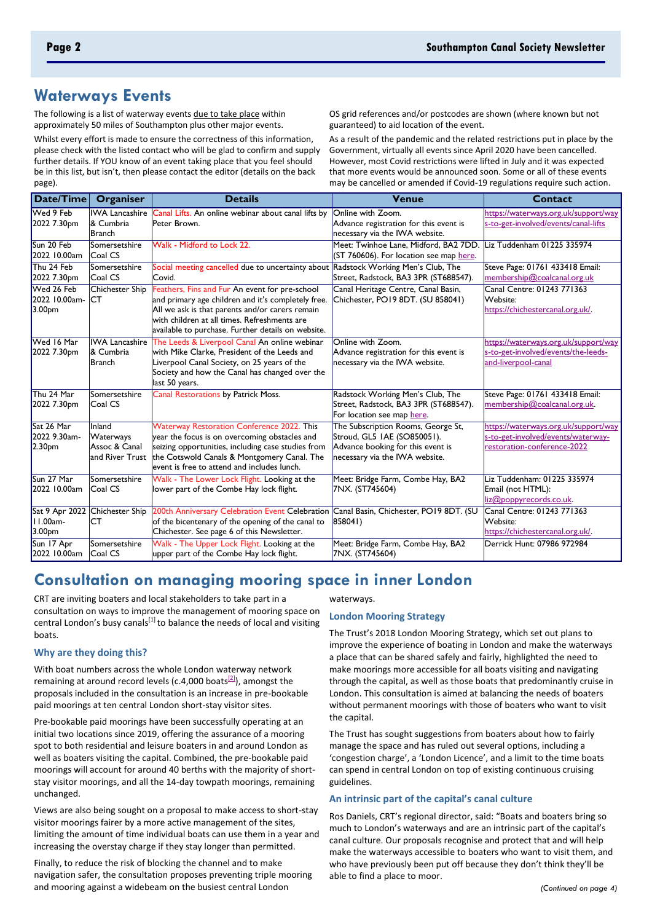## **Waterways Events**

The following is a list of waterway events due to take place within approximately 50 miles of Southampton plus other major events.

Whilst every effort is made to ensure the correctness of this information, please check with the listed contact who will be glad to confirm and supply further details. If YOU know of an event taking place that you feel should be in this list, but isn't, then please contact the editor (details on the back page).

OS grid references and/or postcodes are shown (where known but not guaranteed) to aid location of the event.

As a result of the pandemic and the related restrictions put in place by the Government, virtually all events since April 2020 have been cancelled. However, most Covid restrictions were lifted in July and it was expected that more events would be announced soon. Some or all of these events may be cancelled or amended if Covid-19 regulations require such action.

| Date/Time                                        | Organiser                                               | <b>Details</b>                                                                                                                                                                                                                                                | <b>Venue</b>                                                                                                                             | <b>Contact</b>                                                                                            |
|--------------------------------------------------|---------------------------------------------------------|---------------------------------------------------------------------------------------------------------------------------------------------------------------------------------------------------------------------------------------------------------------|------------------------------------------------------------------------------------------------------------------------------------------|-----------------------------------------------------------------------------------------------------------|
| Wed 9 Feb<br>2022 7.30pm                         | <b>IWA Lancashire</b><br>& Cumbria<br><b>Branch</b>     | Canal Lifts. An online webinar about canal lifts by<br>Peter Brown.                                                                                                                                                                                           | Online with Zoom.<br>Advance registration for this event is<br>necessary via the IWA website.                                            | https://waterways.org.uk/support/way<br>s-to-get-involved/events/canal-lifts                              |
| Sun 20 Feb<br>2022 10.00am                       | Somersetshire<br>Coal CS                                | Walk - Midford to Lock 22.                                                                                                                                                                                                                                    | Meet: Twinhoe Lane, Midford, BA2 7DD.<br>(ST 760606). For location see map here.                                                         | Liz Tuddenham 01225 335974                                                                                |
| Thu 24 Feb<br>2022 7.30pm                        | Somersetshire<br>Coal CS                                | Social meeting cancelled due to uncertainty about Radstock Working Men's Club, The<br>Covid.                                                                                                                                                                  | Street, Radstock, BA3 3PR (ST688547).                                                                                                    | Steve Page: 01761 433418 Email:<br>membership@coalcanal.org.uk                                            |
| Wed 26 Feb<br>2022 10.00am-<br>3.00pm            | Chichester Ship<br><b>CT</b>                            | Feathers, Fins and Fur An event for pre-school<br>and primary age children and it's completely free.<br>All we ask is that parents and/or carers remain<br>with children at all times. Refreshments are<br>available to purchase. Further details on website. | Canal Heritage Centre, Canal Basin,<br>Chichester, PO19 8DT. (SU 858041)                                                                 | Canal Centre: 01243 771363<br>Website:<br>https://chichestercanal.org.uk/.                                |
| Wed 16 Mar<br>2022 7.30pm                        | <b>IWA Lancashire</b><br>& Cumbria<br><b>Branch</b>     | The Leeds & Liverpool Canal An online webinar<br>with Mike Clarke, President of the Leeds and<br>Liverpool Canal Society, on 25 years of the<br>Society and how the Canal has changed over the<br>last 50 years.                                              | Online with Zoom.<br>Advance registration for this event is<br>necessary via the IWA website.                                            | https://waterways.org.uk/support/way<br>s-to-get-involved/events/the-leeds-<br>and-liverpool-canal        |
| Thu 24 Mar<br>2022 7.30pm                        | Somersetshire<br>Coal CS                                | Canal Restorations by Patrick Moss.                                                                                                                                                                                                                           | Radstock Working Men's Club, The<br>Street, Radstock, BA3 3PR (ST688547).<br>For location see map here.                                  | Steve Page: 01761 433418 Email:<br>membership@coalcanal.org.uk.                                           |
| Sat 26 Mar<br>2022 9.30am-<br>2.30 <sub>pm</sub> | Inland<br>Waterways<br>Assoc & Canal<br>and River Trust | Waterway Restoration Conference 2022. This<br>year the focus is on overcoming obstacles and<br>seizing opportunities, including case studies from<br>the Cotswold Canals & Montgomery Canal. The<br>event is free to attend and includes lunch.               | The Subscription Rooms, George St,<br>Stroud, GL5 IAE (SO850051).<br>Advance booking for this event is<br>necessary via the IWA website. | https://waterways.org.uk/support/way<br>s-to-get-involved/events/waterway-<br>restoration-conference-2022 |
| Sun 27 Mar<br>2022 10.00am                       | Somersetshire<br>Coal CS                                | Walk - The Lower Lock Flight. Looking at the<br>lower part of the Combe Hay lock flight.                                                                                                                                                                      | Meet: Bridge Farm, Combe Hay, BA2<br>7NX. (ST745604)                                                                                     | Liz Tuddenham: 01225 335974<br>Email (not HTML):<br>liz@poppyrecords.co.uk.                               |
| Sat 9 Apr 2022<br>$11.00am -$<br>3.00pm          | Chichester Ship<br>СT                                   | 200th Anniversary Celebration Event Celebration Canal Basin, Chichester, PO19 8DT. (SU<br>of the bicentenary of the opening of the canal to<br>Chichester. See page 6 of this Newsletter.                                                                     | 858041)                                                                                                                                  | Canal Centre: 01243 771363<br>Website:<br>https://chichestercanal.org.uk/.                                |
| Sun 17 Apr<br>2022 10.00am                       | Somersetshire<br>Coal CS                                | Walk - The Upper Lock Flight. Looking at the<br>upper part of the Combe Hay lock flight.                                                                                                                                                                      | Meet: Bridge Farm, Combe Hay, BA2<br>7NX. (ST745604)                                                                                     | Derrick Hunt: 07986 972984                                                                                |

# **Consultation on managing mooring space in inner London**

CRT are inviting boaters and local stakeholders to take part in a consultation on ways to improve the management of mooring space on central London's busy canals<sup>[1]</sup> to balance the needs of local and visiting boats.

### **Why are they doing this?**

With boat numbers across the whole London waterway network remaining at around record levels (c.4,000 boats<sup>[\[2\]](https://canalrivertrust.org.uk/news-and-views/news/consultation-on-managing-mooring-space-in-inner-london#_ftn1)</sup>), amongst the proposals included in the consultation is an increase in pre-bookable paid moorings at ten central London short-stay visitor sites.

Pre-bookable paid moorings have been successfully operating at an initial two locations since 2019, offering the assurance of a mooring spot to both residential and leisure boaters in and around London as well as boaters visiting the capital. Combined, the pre-bookable paid moorings will account for around 40 berths with the majority of shortstay visitor moorings, and all the 14-day towpath moorings, remaining unchanged.

Views are also being sought on a proposal to make access to short-stay visitor moorings fairer by a more active management of the sites, limiting the amount of time individual boats can use them in a year and increasing the overstay charge if they stay longer than permitted.

Finally, to reduce the risk of blocking the channel and to make navigation safer, the consultation proposes preventing triple mooring and mooring against a widebeam on the busiest central London

#### waterways.

### **London Mooring Strategy**

The Trust's 2018 London Mooring Strategy, which set out plans to improve the experience of boating in London and make the waterways a place that can be shared safely and fairly, highlighted the need to make moorings more accessible for all boats visiting and navigating through the capital, as well as those boats that predominantly cruise in London. This consultation is aimed at balancing the needs of boaters without permanent moorings with those of boaters who want to visit the capital.

The Trust has sought suggestions from boaters about how to fairly manage the space and has ruled out several options, including a 'congestion charge', a 'London Licence', and a limit to the time boats can spend in central London on top of existing continuous cruising guidelines.

### **An intrinsic part of the capital's canal culture**

Ros Daniels, CRT's regional director, said: "Boats and boaters bring so much to London's waterways and are an intrinsic part of the capital's canal culture. Our proposals recognise and protect that and will help make the waterways accessible to boaters who want to visit them, and who have previously been put off because they don't think they'll be able to find a place to moor.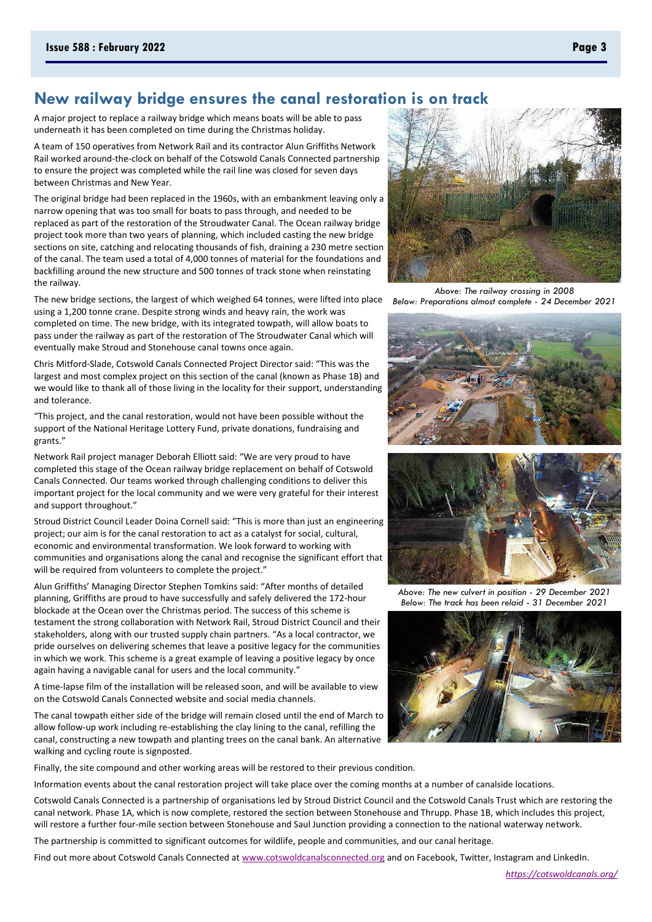### New railway bridge ensures the canal restoration is on track

A major project to replace a railway bridge which means boats will be able to pass underneath it has been completed on time during the Christmas holiday.

A team of 150 operatives from Network Rail and its contractor Alun Griffiths Network Rail worked around-the-clock on behalf of the Cotswold Canals Connected partnership to ensure the project was completed while the rail line was closed for seven days between Christmas and New Year.

The original bridge had been replaced in the 1960s, with an embankment leaving only a narrow opening that was too small for boats to pass through, and needed to be replaced as part of the restoration of the Stroudwater Canal. The Ocean railway bridge project took more than two years of planning, which included casting the new bridge sections on site, catching and relocating thousands of fish, draining a 230 metre section of the canal. The team used a total of 4,000 tonnes of material for the foundations and backfilling around the new structure and 500 tonnes of track stone when reinstating the railway.

The new bridge sections, the largest of which weighed 64 tonnes, were lifted into place using a 1,200 tonne crane. Despite strong winds and heavy rain, the work was completed on time. The new bridge, with its integrated towpath, will allow boats to pass under the railway as part of the restoration of The Stroudwater Canal which will eventually make Stroud and Stonehouse canal towns once again.

Chris Mitford-Slade, Cotswold Canals Connected Project Director said: "This was the largest and most complex project on this section of the canal (known as Phase 1B) and we would like to thank all of those living in the locality for their support, understanding and tolerance

"This project, and the canal restoration, would not have been possible without the support of the National Heritage Lottery Fund, private donations, fundraising and grants."

Network Rail project manager Deborah Elliott said: "We are very proud to have completed this stage of the Ocean railway bridge replacement on behalf of Cotswold Canals Connected. Our teams worked through challenging conditions to deliver this important project for the local community and we were very grateful for their interest and support throughout."

Stroud District Council Leader Doina Cornell said: "This is more than just an engineering project; our aim is for the canal restoration to act as a catalyst for social, cultural, economic and environmental transformation. We look forward to working with communities and organisations along the canal and recognise the significant effort that will be required from volunteers to complete the project."

Alun Griffiths' Managing Director Stephen Tomkins said: "After months of detailed planning, Griffiths are proud to have successfully and safely delivered the 172-hour blockade at the Ocean over the Christmas period. The success of this scheme is testament the strong collaboration with Network Rail, Stroud District Council and their stakeholders, along with our trusted supply chain partners. "As a local contractor, we pride ourselves on delivering schemes that leave a positive legacy for the communities in which we work. This scheme is a great example of leaving a positive legacy by once again having a navigable canal for users and the local community."

A time-lapse film of the installation will be released soon, and will be available to view on the Cotswold Canals Connected website and social media channels.

The canal towpath either side of the bridge will remain closed until the end of March to allow follow-up work including re-establishing the clay lining to the canal, refilling the canal, constructing a new towpath and planting trees on the canal bank. An alternative walking and cycling route is signposted.

Finally, the site compound and other working areas will be restored to their previous condition.

Information events about the canal restoration project will take place over the coming months at a number of canalside locations.

Cotswold Canals Connected is a partnership of organisations led by Stroud District Council and the Cotswold Canals Trust which are restoring the canal network. Phase 1A, which is now complete, restored the section between Stonehouse and Thrupp. Phase 1B, which includes this project, will restore a further four-mile section between Stonehouse and Saul Junction providing a connection to the national waterway network.

The partnership is committed to significant outcomes for wildlife, people and communities, and our canal heritage.

Find out more about Cotswold Canals Connected at www.cotswoldcanalsconnected.org and on Facebook, Twitter, Instagram and LinkedIn.

Above: The railway crossing in 2008 Below: Preparations almost complete - 24 December 2021





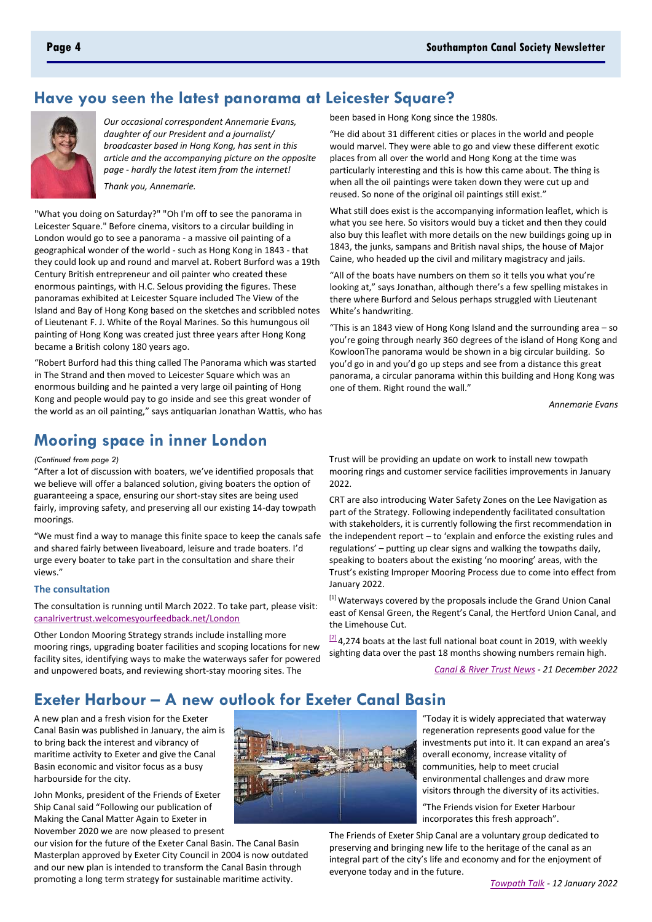# Have you seen the latest panorama at Leicester Square?



Our occasional correspondent Annemarie Evans, daughter of our President and a journalist/ broadcaster based in Hong Kong, has sent in this article and the accompanying picture on the opposite page - hardly the latest item from the internet! Thank you, Annemarie.

"What you doing on Saturday?" "Oh I'm off to see the panorama in Leicester Square." Before cinema, visitors to a circular building in London would go to see a panorama - a massive oil painting of a geographical wonder of the world - such as Hong Kong in 1843 - that they could look up and round and marvel at. Robert Burford was a 19th Century British entrepreneur and oil painter who created these enormous paintings, with H.C. Selous providing the figures. These panoramas exhibited at Leicester Square included The View of the Island and Bay of Hong Kong based on the sketches and scribbled notes of Lieutenant F. J. White of the Royal Marines. So this humungous oil painting of Hong Kong was created just three years after Hong Kong

"Robert Burford had this thing called The Panorama which was started in The Strand and then moved to Leicester Square which was an enormous building and he painted a very large oil painting of Hong Kong and people would pay to go inside and see this great wonder of the world as an oil painting," says antiquarian Jonathan Wattis, who has

# **Mooring space in inner London**

became a British colony 180 years ago.

(Continued from page 2)

"After a lot of discussion with boaters, we've identified proposals that we believe will offer a balanced solution, giving boaters the option of guaranteeing a space, ensuring our short-stay sites are being used fairly, improving safety, and preserving all our existing 14-day towpath moorings.

"We must find a way to manage this finite space to keep the canals safe and shared fairly between liveaboard, leisure and trade boaters. I'd urge every boater to take part in the consultation and share their views."

### The consultation

The consultation is running until March 2022. To take part, please visit: canalrivertrust.welcomesyourfeedback.net/London

Other London Mooring Strategy strands include installing more mooring rings, upgrading boater facilities and scoping locations for new facility sites, identifying ways to make the waterways safer for powered and unpowered boats, and reviewing short-stay mooring sites. The

been based in Hong Kong since the 1980s.

"He did about 31 different cities or places in the world and people would marvel. They were able to go and view these different exotic places from all over the world and Hong Kong at the time was particularly interesting and this is how this came about. The thing is when all the oil paintings were taken down they were cut up and reused. So none of the original oil paintings still exist."

What still does exist is the accompanying information leaflet, which is what you see here. So visitors would buy a ticket and then they could also buy this leaflet with more details on the new buildings going up in 1843, the junks, sampans and British naval ships, the house of Major Caine, who headed up the civil and military magistracy and jails.

"All of the boats have numbers on them so it tells you what you're looking at," says Jonathan, although there's a few spelling mistakes in there where Burford and Selous perhaps struggled with Lieutenant White's handwriting.

"This is an 1843 view of Hong Kong Island and the surrounding area - so you're going through nearly 360 degrees of the island of Hong Kong and KowloonThe panorama would be shown in a big circular building. So you'd go in and you'd go up steps and see from a distance this great panorama, a circular panorama within this building and Hong Kong was one of them. Right round the wall."

**Annemarie Evans** 

Trust will be providing an update on work to install new towpath mooring rings and customer service facilities improvements in January  $2022$ 

CRT are also introducing Water Safety Zones on the Lee Navigation as part of the Strategy. Following independently facilitated consultation with stakeholders, it is currently following the first recommendation in the independent report  $-$  to 'explain and enforce the existing rules and regulations' - putting up clear signs and walking the towpaths daily, speaking to boaters about the existing 'no mooring' areas, with the Trust's existing Improper Mooring Process due to come into effect from January 2022.

[1] Waterways covered by the proposals include the Grand Union Canal east of Kensal Green, the Regent's Canal, the Hertford Union Canal, and the Limehouse Cut.

 $^{[2]}$ 4,274 boats at the last full national boat count in 2019, with weekly sighting data over the past 18 months showing numbers remain high.

Canal & River Trust News - 21 December 2022

# **Exeter Harbour - A new outlook for Exeter Canal Basin**

A new plan and a fresh vision for the Exeter Canal Basin was published in January, the aim is to bring back the interest and vibrancy of maritime activity to Exeter and give the Canal Basin economic and visitor focus as a busy harbourside for the city.

John Monks, president of the Friends of Exeter Ship Canal said "Following our publication of Making the Canal Matter Again to Exeter in November 2020 we are now pleased to present

our vision for the future of the Exeter Canal Basin. The Canal Basin Masterplan approved by Exeter City Council in 2004 is now outdated and our new plan is intended to transform the Canal Basin through promoting a long term strategy for sustainable maritime activity.



"Today it is widely appreciated that waterway regeneration represents good value for the investments put into it. It can expand an area's overall economy, increase vitality of communities, help to meet crucial environmental challenges and draw more visitors through the diversity of its activities.

"The Friends vision for Exeter Harbour incorporates this fresh approach".

The Friends of Exeter Ship Canal are a voluntary group dedicated to preserving and bringing new life to the heritage of the canal as an integral part of the city's life and economy and for the enjoyment of everyone today and in the future.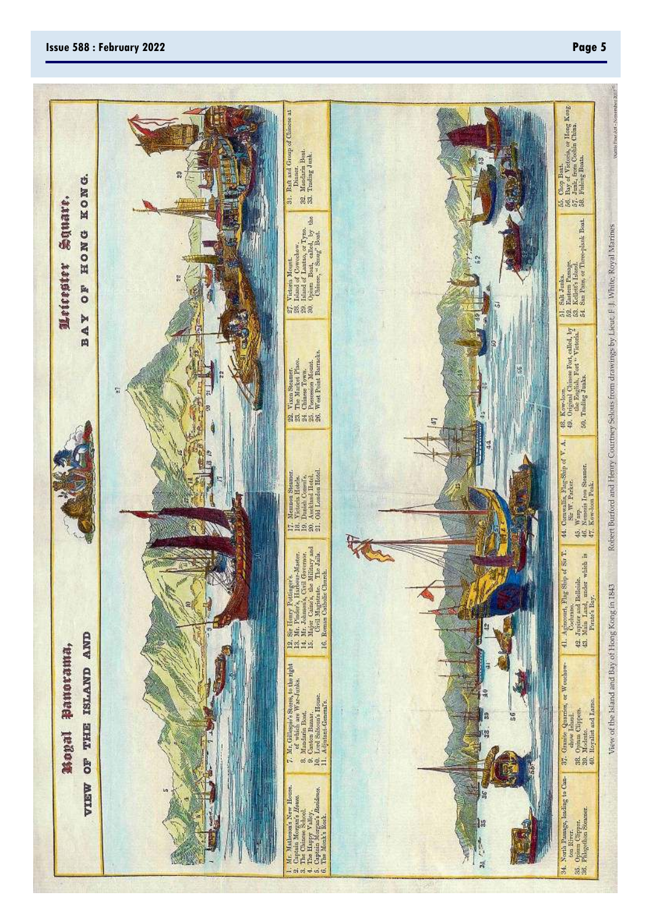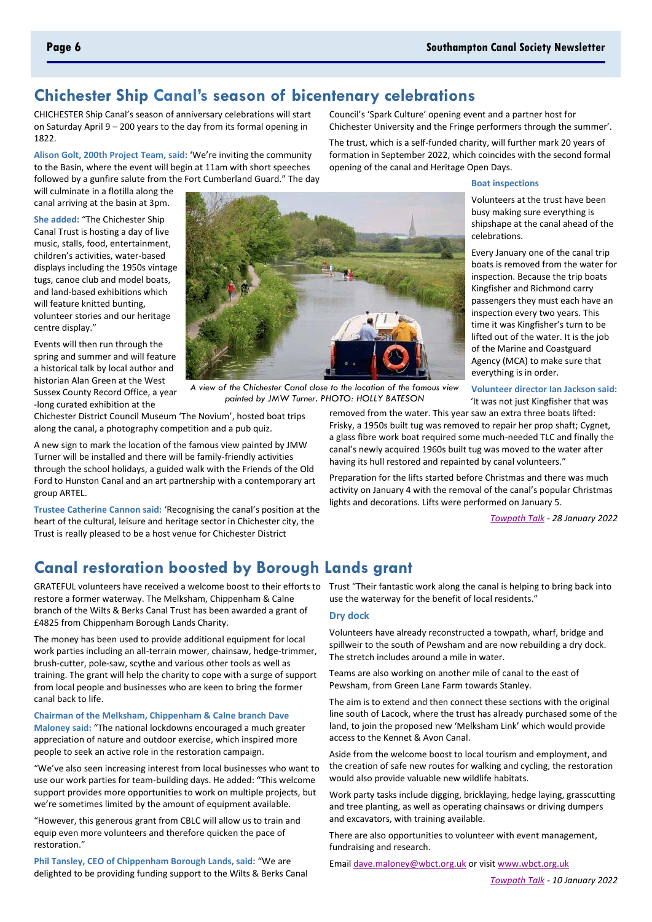**Boat inspections** 

celebrations.

Volunteers at the trust have been

shipshape at the canal ahead of the

Every January one of the canal trip

inspection. Because the trip boats

passengers they must each have an

Kingfisher and Richmond carry

inspection every two years. This

of the Marine and Coastguard

everything is in order.

Agency (MCA) to make sure that

time it was Kingfisher's turn to be

lifted out of the water. It is the job

boats is removed from the water for

busy making sure everything is

Council's 'Spark Culture' opening event and a partner host for Chichester University and the Fringe performers through the summer'.

opening of the canal and Heritage Open Days.

The trust, which is a self-funded charity, will further mark 20 years of

formation in September 2022, which coincides with the second formal

# **Chichester Ship Canal's season of bicentenary celebrations**

CHICHESTER Ship Canal's season of anniversary celebrations will start on Saturday April 9 - 200 years to the day from its formal opening in 1822.

Alison Golt, 200th Project Team, said: 'We're inviting the community to the Basin, where the event will begin at 11am with short speeches followed by a gunfire salute from the Fort Cumberland Guard." The day

will culminate in a flotilla along the canal arriving at the basin at 3pm.

She added: "The Chichester Ship Canal Trust is hosting a day of live music, stalls, food, entertainment, children's activities, water-based displays including the 1950s vintage tugs, canoe club and model boats, and land-based exhibitions which will feature knitted bunting, volunteer stories and our heritage centre display."

Events will then run through the spring and summer and will feature a historical talk by local author and historian Alan Green at the West Sussex County Record Office, a year -long curated exhibition at the



A view of the Chichester Canal close to the location of the famous view painted by JMW Turner. PHOTO: HOLLY BATESON

Chichester District Council Museum 'The Novium', hosted boat trips along the canal, a photography competition and a pub quiz.

A new sign to mark the location of the famous view painted by JMW Turner will be installed and there will be family-friendly activities through the school holidays, a guided walk with the Friends of the Old Ford to Hunston Canal and an art partnership with a contemporary art group ARTEL.

Trustee Catherine Cannon said: 'Recognising the canal's position at the heart of the cultural, leisure and heritage sector in Chichester city, the Trust is really pleased to be a host venue for Chichester District

Frisky, a 1950s built tug was removed to repair her prop shaft; Cygnet, a glass fibre work boat required some much-needed TLC and finally the canal's newly acquired 1960s built tug was moved to the water after having its hull restored and repainted by canal volunteers." Preparation for the lifts started before Christmas and there was much

activity on January 4 with the removal of the canal's popular Christmas lights and decorations. Lifts were performed on January 5.

Towpath Talk - 28 January 2022

# **Canal restoration boosted by Borough Lands grant**

restore a former waterway. The Melksham, Chippenham & Calne branch of the Wilts & Berks Canal Trust has been awarded a grant of £4825 from Chippenham Borough Lands Charity.

The money has been used to provide additional equipment for local work parties including an all-terrain mower, chainsaw, hedge-trimmer, brush-cutter, pole-saw, scythe and various other tools as well as training. The grant will help the charity to cope with a surge of support from local people and businesses who are keen to bring the former canal back to life.

Chairman of the Melksham, Chippenham & Calne branch Dave Maloney said: "The national lockdowns encouraged a much greater appreciation of nature and outdoor exercise, which inspired more people to seek an active role in the restoration campaign.

"We've also seen increasing interest from local businesses who want to use our work parties for team-building days. He added: "This welcome support provides more opportunities to work on multiple projects, but we're sometimes limited by the amount of equipment available.

"However, this generous grant from CBLC will allow us to train and equip even more volunteers and therefore quicken the pace of restoration."

Phil Tansley, CEO of Chippenham Borough Lands, said: "We are delighted to be providing funding support to the Wilts & Berks Canal

GRATEFUL volunteers have received a welcome boost to their efforts to Trust "Their fantastic work along the canal is helping to bring back into use the waterway for the benefit of local residents."

### **Dry dock**

Volunteers have already reconstructed a towpath, wharf, bridge and spillweir to the south of Pewsham and are now rebuilding a dry dock. The stretch includes around a mile in water.

Teams are also working on another mile of canal to the east of Pewsham, from Green Lane Farm towards Stanley.

The aim is to extend and then connect these sections with the original line south of Lacock, where the trust has already purchased some of the land, to join the proposed new 'Melksham Link' which would provide access to the Kennet & Avon Canal.

Aside from the welcome boost to local tourism and employment, and the creation of safe new routes for walking and cycling, the restoration would also provide valuable new wildlife habitats.

Work party tasks include digging, bricklaying, hedge laying, grasscutting and tree planting, as well as operating chainsaws or driving dumpers and excavators, with training available.

There are also opportunities to volunteer with event management, fundraising and research.

Email dave.maloney@wbct.org.uk or visit www.wbct.org.uk

### Page 6

Volunteer director Ian Jackson said: 'It was not just Kingfisher that was removed from the water. This year saw an extra three boats lifted: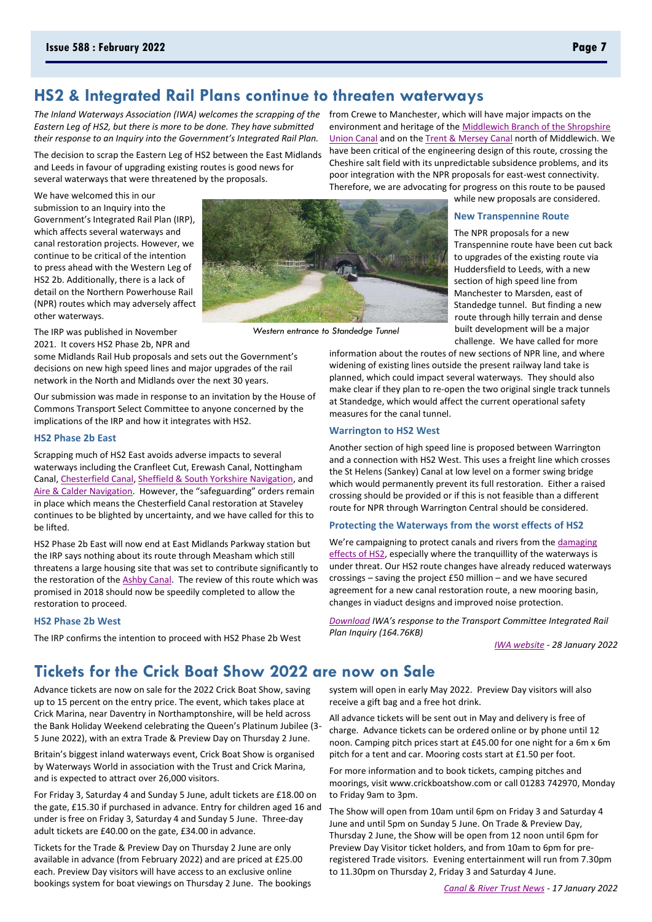# HS2 & Integrated Rail Plans continue to threaten waterways

Eastern Lea of HS2, but there is more to be done. They have submitted their response to an Inquiry into the Government's Integrated Rail Plan.

The decision to scrap the Eastern Leg of HS2 between the East Midlands and Leeds in favour of upgrading existing routes is good news for several waterways that were threatened by the proposals.

We have welcomed this in our submission to an Inquiry into the Government's Integrated Rail Plan (IRP), which affects several waterways and canal restoration projects. However, we continue to be critical of the intention to press ahead with the Western Leg of HS2 2b. Additionally, there is a lack of detail on the Northern Powerhouse Rail (NPR) routes which may adversely affect other waterways.

The IRP was published in November 2021. It covers HS2 Phase 2b. NPR and

some Midlands Rail Hub proposals and sets out the Government's decisions on new high speed lines and major upgrades of the rail network in the North and Midlands over the next 30 years.

Our submission was made in response to an invitation by the House of Commons Transport Select Committee to anyone concerned by the implications of the IRP and how it integrates with HS2.

### **HS2 Phase 2b East**

Scrapping much of HS2 East avoids adverse impacts to several waterways including the Cranfleet Cut, Erewash Canal, Nottingham Canal, Chesterfield Canal, Sheffield & South Yorkshire Navigation, and Aire & Calder Navigation. However, the "safeguarding" orders remain in place which means the Chesterfield Canal restoration at Staveley continues to be blighted by uncertainty, and we have called for this to ho liftod

HS2 Phase 2b East will now end at East Midlands Parkway station but the IRP says nothing about its route through Measham which still threatens a large housing site that was set to contribute significantly to the restoration of the Ashby Canal. The review of this route which was promised in 2018 should now be speedily completed to allow the restoration to proceed.

### **HS2 Phase 2b West**

The IRP confirms the intention to proceed with HS2 Phase 2b West

The Inland Waterways Association (IWA) welcomes the scrapping of the from Crewe to Manchester, which will have major impacts on the environment and heritage of the Middlewich Branch of the Shropshire Union Canal and on the Trent & Mersey Canal north of Middlewich. We have been critical of the engineering design of this route, crossing the Cheshire salt field with its unpredictable subsidence problems, and its poor integration with the NPR proposals for east-west connectivity. Therefore, we are advocating for progress on this route to be paused

while new proposals are considered.

### **New Transpennine Route**

The NPR proposals for a new Transpennine route have been cut back to upgrades of the existing route via Huddersfield to Leeds, with a new section of high speed line from Manchester to Marsden, east of Standedge tunnel. But finding a new route through hilly terrain and dense built development will be a major challenge. We have called for more

information about the routes of new sections of NPR line, and where widening of existing lines outside the present railway land take is planned, which could impact several waterways. They should also make clear if they plan to re-open the two original single track tunnels at Standedge, which would affect the current operational safety measures for the canal tunnel.

### **Warrington to HS2 West**

Another section of high speed line is proposed between Warrington and a connection with HS2 West. This uses a freight line which crosses the St Helens (Sankey) Canal at low level on a former swing bridge which would permanently prevent its full restoration. Either a raised crossing should be provided or if this is not feasible than a different route for NPR through Warrington Central should be considered.

### Protecting the Waterways from the worst effects of HS2

We're campaigning to protect canals and rivers from the damaging effects of HS2, especially where the tranquillity of the waterways is under threat. Our HS2 route changes have already reduced waterways crossings - saving the project £50 million - and we have secured agreement for a new canal restoration route, a new mooring basin, changes in viaduct designs and improved noise protection.

Download IWA's response to the Transport Committee Integrated Rail Plan Inquiry (164.76KB)

IWA website - 28 January 2022

# Tickets for the Crick Boat Show 2022 are now on Sale

Advance tickets are now on sale for the 2022 Crick Boat Show, saving up to 15 percent on the entry price. The event, which takes place at Crick Marina, near Daventry in Northamptonshire, will be held across the Bank Holiday Weekend celebrating the Queen's Platinum Jubilee (3-5 June 2022), with an extra Trade & Preview Day on Thursday 2 June.

Britain's biggest inland waterways event, Crick Boat Show is organised by Waterways World in association with the Trust and Crick Marina, and is expected to attract over 26,000 visitors.

For Friday 3, Saturday 4 and Sunday 5 June, adult tickets are £18.00 on the gate, £15.30 if purchased in advance. Entry for children aged 16 and under is free on Friday 3, Saturday 4 and Sunday 5 June. Three-day adult tickets are £40.00 on the gate, £34.00 in advance.

Tickets for the Trade & Preview Day on Thursday 2 June are only available in advance (from February 2022) and are priced at £25.00 each. Preview Day visitors will have access to an exclusive online bookings system for boat viewings on Thursday 2 June. The bookings system will open in early May 2022. Preview Day visitors will also receive a gift bag and a free hot drink.

All advance tickets will be sent out in May and delivery is free of charge. Advance tickets can be ordered online or by phone until 12 noon. Camping pitch prices start at £45.00 for one night for a 6m x 6m pitch for a tent and car. Mooring costs start at £1.50 per foot.

For more information and to book tickets, camping pitches and moorings, visit www.crickboatshow.com or call 01283 742970, Monday to Friday 9am to 3pm.

The Show will open from 10am until 6pm on Friday 3 and Saturday 4 June and until 5pm on Sunday 5 June. On Trade & Preview Day, Thursday 2 June, the Show will be open from 12 noon until 6pm for Preview Day Visitor ticket holders, and from 10am to 6pm for preregistered Trade visitors. Evening entertainment will run from 7.30pm to 11.30pm on Thursday 2, Friday 3 and Saturday 4 June.



Western entrance to Standedae Tunnel